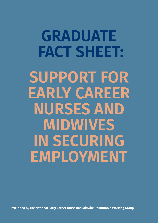**GRADUATE FACT SHEET: SUPPORT FOR EARLY CAREER NURSES AND MIDWIVES IN SECURING EMPLOYMENT** 

**Developed by the National Early Career Nurse and Midwife Roundtable Working Group**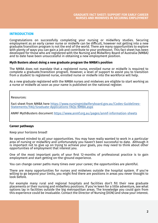## **INTRODUCTION**

Congratulations on successfully completing your nursing or midwifery studies. Securing employment as an early career nurse or midwife can be difficult, however not getting into a new graduate/transition program is not the end of the world. There are many opportunities to explore with plenty of ways you can gain a job and contribute to your profession. This fact sheet has been developed for those who are registered with the Nursing and Midwifery Board of Australia (NMBA) and to date have been unsuccessful in obtaining a new employment position.

#### **Myth Busters about doing a new graduate program the NMBA's position**

The NMBA does not mandate that a registered nurse, enrolled nurse or midwife is required to complete a graduate/transition program. However, a level of support to assist you to transition from a student to registered nurse, enrolled nurse or midwife into the workforce will help.

As a new graduate registered with the NMBA nurses and midwives are eligible to start working as a nurse or midwife as soon as your name is published on the national register.

Resources:

Fact sheet from NMBA here [https://www.nursingmidwiferyboard.gov.au/Codes-Guidelines-](https://www.nursingmidwiferyboard.gov.au/Codes-Guidelines-Statements/FAQ/Graduate-Applications-FAQs-NMBA.aspx)[Statements/FAQ/Graduate-Applications-FAQs-NMBA.aspx](https://www.nursingmidwiferyboard.gov.au/Codes-Guidelines-Statements/FAQ/Graduate-Applications-FAQs-NMBA.aspx)

ANMF MythBusters document https://www.anmf.org.au/pages/anmf-information-sheets

## **Career pathways**

Keep your horizons broad!

Be opened minded to all your opportunities. You may have really wanted to work in a particular area of nursing or midwifery and unfortunately you haven't been successful to date. Although it is important not to give up on trying to achieve your goals, you may need to think about other opportunities of employment that interest you.

One of the most important parts of your first 12-months of professional practice is to gain employment and start getting on-the-ground experience.

You can change career paths many times over your career, the opportunities are plentiful.

There are many opportunities for nurses and midwives outside the hospital system. If you're willing to go bevond your limits, you might find there are positions in areas you never thought to look before.

For example many rural and regional hospitals and facilities don't fill their new graduate placements or their nursing and midwifery positions. If you're keen for a little adventure, see what options lay in facilities outside the big metropolitan areas. The knowledge you could gain from this experience could be invaluable. Contact the Director of Nursing (DON) and show your interest.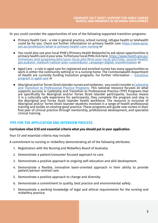Or you could consider the opportunities of one of the following supported transition programs:

- ⦁ Primary Health Care a role in general practice, school nursing, refugee health or telehealth could be for you. Check out further information on primary health care [https://www.apna.](https://www.apna.asn.au/profession/what-is-primary-health-care-nursing) [asn.au/profession/what-is-primary-health-care-nursing](https://www.apna.asn.au/profession/what-is-primary-health-care-nursing) or
- ⦁ You could also use your local PHN's (Primary Health Networks) to ask about opportunities in primary health care in your area. To find your local PHN click here. https://www.health.gov.au/ initiatives-and-programs/phn/your-local-phn/find-your-local-phn?utm\_source=health. gov.au&utm\_medium=callout-auto-custom&utm\_campaign=digital\_transformation or
- Aged Care a role in aged care for registered and enrolled nurses has many opportunities to work in either the community setting or in a nursing home. The Commonwealth Department of Health are currently funding [transition](https://www.health.gov.au/initiatives-and-programs/aged-care-transition-to-practice-program) programs. For further information - transition [program in aged care](https://www.health.gov.au/initiatives-and-programs/aged-care-transition-to-practice-program) or
- ⦁ Aboriginal and/or Torres Strait Islander nurses and midwives you could consider a [Cadetship](https://issuu.com/catsinam1/docs/cadetship-graduate-program-national-resource-final) [and Transition to Professional Practice Programs.](https://issuu.com/catsinam1/docs/cadetship-graduate-program-national-resource-final) This national resource focuses on what supports success in Cadetship and Transition to Professional Practice (TPP) Programs that are specifically for Aboriginal and/or Torres Strait Islander participants. Success means it is a culturally safe experience for participants, they complete the program and stay in the Aboriginal and Torres Strait Islander health workforce. The resource is inclusive of Aboriginal and/or Torres Strait Islander students involved in a range of health professional training and builds on existing good practice. These programs will guide new nurses in their first year of clinical practice through mentorship, professional development, and specialist clinical training.

# **TIPS FOR THE APPLICATION AND INTERVIEW PROCESS**

## **Curriculum vitae (CV) and essential criteria what you should put in your application.**

Your CV and essential criteria may include:

A commitment to nursing or midwifery demonstrating all of the following attributes:

- 1. Registration with the Nursing and Midwifery Board of Australia.
- 2. Demonstrate a patient/consumer focused approach to care.
- 3. Demonstrate a positive approach to ongoing self-education and skill development.
- 4. Demonstrate a flexible, innovative team-oriented approach in their ability to provide patient/person centred care.
- 5. Demonstrate a positive approach to change and diversity.
- 6. Demonstrate a commitment to quality, best practice and environmental safety.
- 7. Demonstrate a working knowledge of legal and ethical requirements for the nursing and midwifery practice.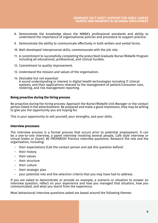- 8. Demonstrate the knowledge about the NMBA's professional standards and ability to understand the importance of organisational policies and procedure to support practice.
- 9. Demonstrate the ability to communicate effectively in both written and verbal forms.
- 10. Well-developed interpersonal skills, commensurate with the job role.
- 11. A commitment to successfully completing the prescribed Graduate Nurse/Midwife Program including all educational, professional, and clinical hurdles.
- 12. Commitment to quality improvement.
- 13. Understand the mission and values of the organisation.
- 14. Desirable but not essential:

A sound understanding or interest in digital health technologies including IT clinical systems, and their applications relevant to the management of patient/consumer care, rostering, and risk management reporting.

## **Being proactive during the hiring process**

Be proactive during the hiring process: Approach the Nurse/Midwife Unit Manager or the contact person listed in the advertisement. Be prepared and make a good impression, they may be willing to give you the opportunity you are hoping for.

This is your opportunity to sell yourself, your strengths, and your skills.

#### **Interview processes**

The interview process is a formal process that occurs prior to potential employment. It can be a one-to-one interview, a panel interview involving several people, Café style interview or virtual (video or Zoom). BE PREPARED!! Practice interview questions. Research the role and the organisation, including:

- − their expectations (Call the contact person and ask this question before)
- − their history
- − their values
- their structure
- − their culture
- − their strategic plan
- your potential role and the selection criteria that you may have had to address.

If you are asked to demonstrate or provide an example, a scenario or situation to answer an interview question, reflect on your experience and how you managed that situation, how you communicated, and what you learnt from the experience.

Most behavioural interview questions asked are based around the following themes: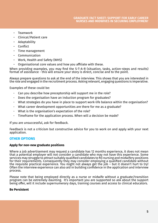- − Teamwork
- − Clinical/Patient care
- − Adaptability
- − Conflict
- Time management
- − Communication
- − Work, Health and Safety (WHS)
- − Organisational core values and how you affiliate with these.

When providing examples, you may find the S-T-A-R (situation, tasks, action-steps and results) format of assistance - this will ensure your story is direct, concise and to the point.

Always prepare questions to ask at the end of the interview. This shows that you are interested in the role and engaged in the recruitment process. Asking relevant, engaging questions is imperative.

Examples of these could be:

- Can you describe how preceptorship will support me in the role?
- Does the organisation have an induction program for graduates?
- What strategies do you have in place to support work-life balance within the organisation?
- What career development opportunities are there for me as a graduate?
- What is the organisation's expectation of the role?
- Timeframe for the application process. When will a decision be made?

If you are unsuccessful, ask for feedback.

Feedback is not a criticism but constructive advice for you to work on and apply with your next application.

## **OTHER OPTIONS**

### **Apply for non-new graduate positions**

Where a job advertisement may request a candidate has 12 months experience, it does not mean that a potential employer will not consider a candidate who may not have this experience. Some services may struggle to attract suitably qualified candidates to fill nursing and midwifery positions for their requirements. Consequently they may consider emploving a qualified candidate without the requisite practical experience. You might not always get the job – but it doesn't hurt to try! Often the interview experience can also aid in building confidence in the application and interview process.

Please note that being employed directly as a nurse or midwife without a graduate/transition program can be extremely daunting. It's important you are supported so ask about the support being offer, will it include supernumerary days, training courses and access to clinical educators.

#### **Be Persistent**